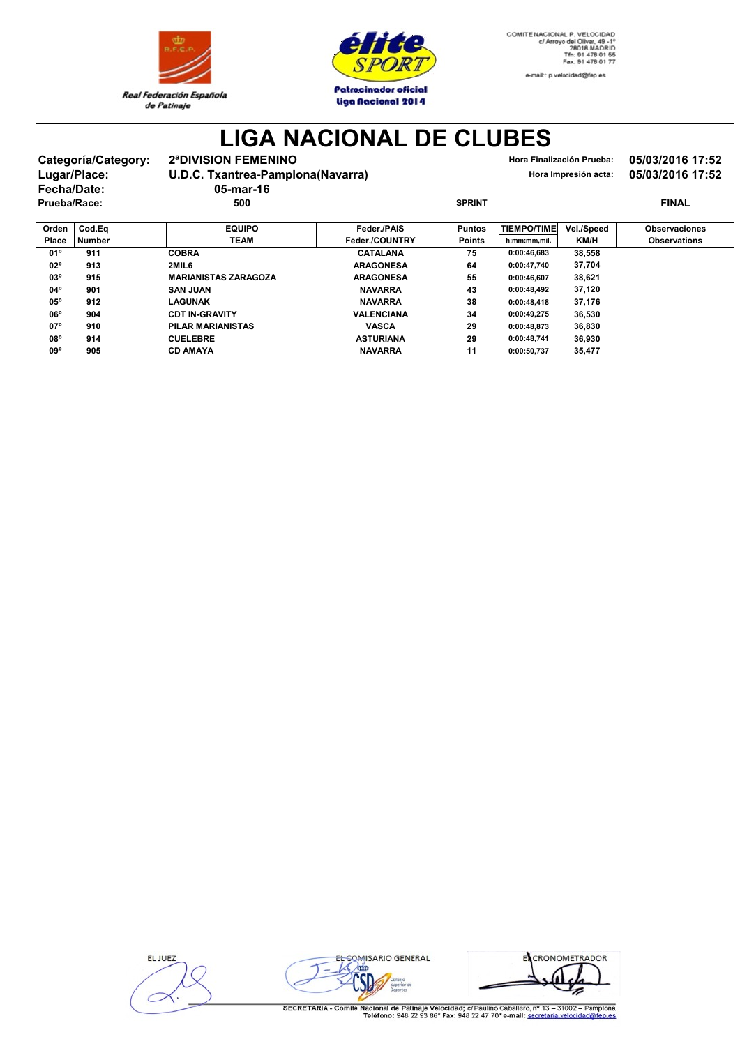



**LIGA NACIONAL DE CLUBES**

| Categoría/Category:<br>Lugar/Place:<br><b>Fecha/Date:</b> |              |        | 2ª DIVISION FEMENINO<br>U.D.C. Txantrea-Pamplona(Navarra) |             | Hora Finalización Prueba:<br>Hora Impresión acta: | 05/03/2016 17:52<br>05/03/2016 17:52 |            |                      |  |
|-----------------------------------------------------------|--------------|--------|-----------------------------------------------------------|-------------|---------------------------------------------------|--------------------------------------|------------|----------------------|--|
|                                                           | Prueba/Race: |        | $05$ -mar-16<br>500                                       |             | <b>SPRINT</b>                                     |                                      |            | <b>FINAL</b>         |  |
|                                                           | Orden        | Cod.Ea | <b>EQUIPO</b>                                             | Feder./PAIS | <b>Puntos</b>                                     | TIEMPO/TIME                          | Vel./Speed | <b>Observaciones</b> |  |

|              |               |                             |                   | .             |              | .           |                     |
|--------------|---------------|-----------------------------|-------------------|---------------|--------------|-------------|---------------------|
| Place        | <b>Number</b> | <b>TEAM</b>                 | Feder./COUNTRY    | <b>Points</b> | h:mm:mm,mil. | <b>KM/H</b> | <b>Observations</b> |
| 01°          | 911           | <b>COBRA</b>                | <b>CATALANA</b>   | 75            | 0:00:46.683  | 38.558      |                     |
| $02^{\circ}$ | 913           | 2MIL6                       | <b>ARAGONESA</b>  | 64            | 0:00:47.740  | 37,704      |                     |
| $03^{\circ}$ | 915           | <b>MARIANISTAS ZARAGOZA</b> | <b>ARAGONESA</b>  | 55            | 0:00:46.607  | 38.621      |                     |
| 04°          | 901           | <b>SAN JUAN</b>             | <b>NAVARRA</b>    | 43            | 0:00:48.492  | 37.120      |                     |
| $05^{\circ}$ | 912           | LAGUNAK                     | <b>NAVARRA</b>    | 38            | 0:00:48.418  | 37.176      |                     |
| $06^{\circ}$ | 904           | <b>CDT IN-GRAVITY</b>       | <b>VALENCIANA</b> | 34            | 0:00:49,275  | 36,530      |                     |
| $07^{\circ}$ | 910           | PILAR MARIANISTAS           | <b>VASCA</b>      | 29            | 0:00:48.873  | 36.830      |                     |
| 08°          | 914           | <b>CUELEBRE</b>             | <b>ASTURIANA</b>  | 29            | 0:00:48.741  | 36.930      |                     |
| 09°          | 905           | <b>CD AMAYA</b>             | <b>NAVARRA</b>    | 11            | 0:00:50.737  | 35.477      |                     |

EL JUEZ



ECRONOMETRADOR ¥

SECRETARIA - Comité Nacional de Patinaje Velocidad; c/ Paulino Caballero, nº 13 - 31002 - Pamplona<br>Teléfono: 948 22 93 86\* Fax: 948 22 47 70\* e-mail: secretaria.velocidad@fen.es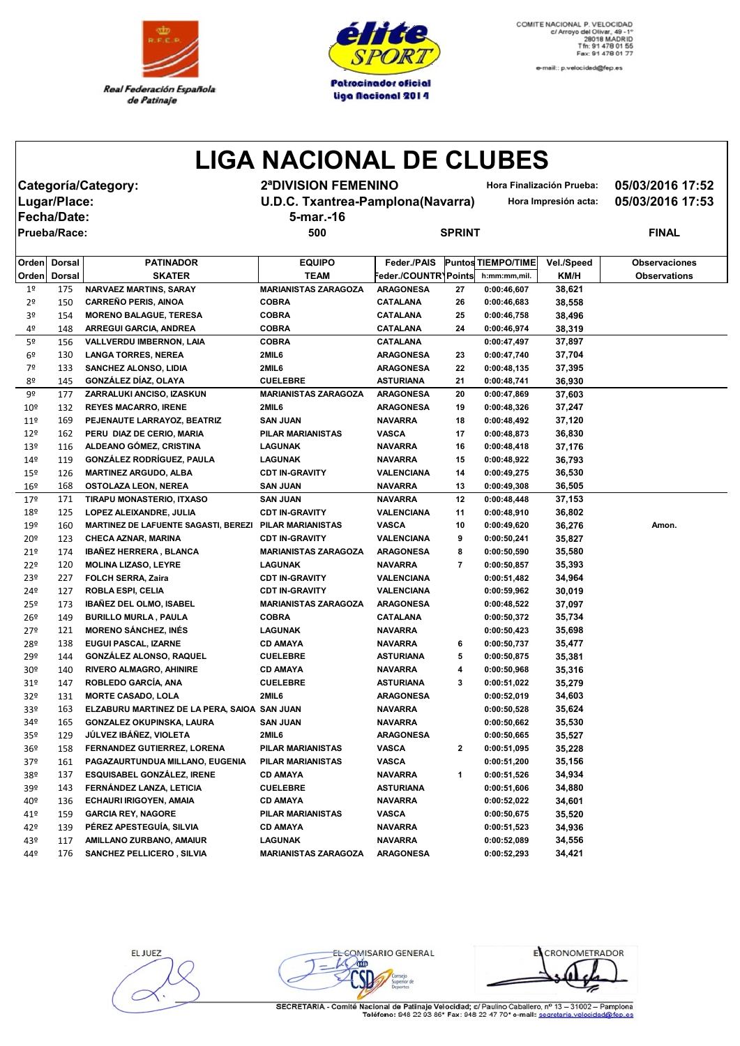



e-mail:: p.velocidad@fep.es

## **LIGA NACIONAL DE CLUBES**

**Categoría/Category: 2ªDIVISION FEMENINO Hora Finalización Prueba: 05/03/2016 17:52 Fecha/Date: 5-mar.-16**

**Lugar/Place: U.D.C. Txantrea-Pamplona(Navarra) Hora Impresión acta: 05/03/2016 17:53**

**Prueba/Race: 500 SPRINT FINAL**

| Orden           | <b>Dorsal</b> | <b>PATINADOR</b>                                       | <b>EQUIPO</b>               | Feder./PAIS          |                | <b>Puntos TIEMPO/TIME</b> | Vel./Speed | <b>Observaciones</b> |
|-----------------|---------------|--------------------------------------------------------|-----------------------------|----------------------|----------------|---------------------------|------------|----------------------|
| Orden           | <b>Dorsal</b> | <b>SKATER</b>                                          | <b>TEAM</b>                 | Feder./COUNTR\Points |                | h:mm:mm,mil.              | KM/H       | <b>Observations</b>  |
| 1 <sup>°</sup>  | 175           | NARVAEZ MARTINS, SARAY                                 | <b>MARIANISTAS ZARAGOZA</b> | <b>ARAGONESA</b>     | 27             | 0:00:46,607               | 38,621     |                      |
| 2 <sup>o</sup>  | 150           | <b>CARREÑO PERIS, AINOA</b>                            | <b>COBRA</b>                | <b>CATALANA</b>      | 26             | 0:00:46,683               | 38,558     |                      |
| 3 <sup>o</sup>  | 154           | <b>MORENO BALAGUE, TERESA</b>                          | <b>COBRA</b>                | <b>CATALANA</b>      | 25             | 0:00:46,758               | 38,496     |                      |
| 4º              | 148           | ARREGUI GARCIA, ANDREA                                 | <b>COBRA</b>                | <b>CATALANA</b>      | 24             | 0:00:46,974               | 38,319     |                      |
| 5º              | 156           | VALLVERDU IMBERNON, LAIA                               | <b>COBRA</b>                | <b>CATALANA</b>      |                | 0:00:47,497               | 37,897     |                      |
| 6º              | 130           | <b>LANGA TORRES, NEREA</b>                             | 2MIL6                       | <b>ARAGONESA</b>     | 23             | 0:00:47,740               | 37,704     |                      |
| 7º              | 133           | SANCHEZ ALONSO, LIDIA                                  | 2MIL6                       | <b>ARAGONESA</b>     | 22             | 0:00:48,135               | 37,395     |                      |
| 80              | 145           | GONZÁLEZ DÍAZ, OLAYA                                   | <b>CUELEBRE</b>             | <b>ASTURIANA</b>     | 21             | 0:00:48,741               | 36,930     |                      |
| 9º              | 177           | ZARRALUKI ANCISO, IZASKUN                              | <b>MARIANISTAS ZARAGOZA</b> | <b>ARAGONESA</b>     | 20             | 0:00:47,869               | 37,603     |                      |
| 10 <sup>°</sup> | 132           | <b>REYES MACARRO, IRENE</b>                            | 2MIL6                       | <b>ARAGONESA</b>     | 19             | 0:00:48,326               | 37,247     |                      |
| 11 <sup>°</sup> | 169           | PEJENAUTE LARRAYOZ, BEATRIZ                            | <b>SAN JUAN</b>             | <b>NAVARRA</b>       | 18             | 0:00:48,492               | 37,120     |                      |
| 12 <sup>°</sup> | 162           | PERU DIAZ DE CERIO, MARIA                              | PILAR MARIANISTAS           | <b>VASCA</b>         | 17             | 0:00:48,873               | 36,830     |                      |
| 13 <sup>°</sup> | 116           | ALDEANO GÓMEZ, CRISTINA                                | <b>LAGUNAK</b>              | <b>NAVARRA</b>       | 16             | 0:00:48,418               | 37,176     |                      |
| 14 <sup>°</sup> | 119           | <b>GONZÁLEZ RODRÍGUEZ, PAULA</b>                       | LAGUNAK                     | <b>NAVARRA</b>       | 15             | 0:00:48,922               | 36,793     |                      |
| 15º             | 126           | <b>MARTINEZ ARGUDO, ALBA</b>                           | <b>CDT IN-GRAVITY</b>       | VALENCIANA           | 14             | 0:00:49,275               | 36,530     |                      |
| 16º             | 168           | <b>OSTOLAZA LEON, NEREA</b>                            | <b>SAN JUAN</b>             | <b>NAVARRA</b>       | 13             | 0:00:49,308               | 36,505     |                      |
| 179             | 171           | TIRAPU MONASTERIO, ITXASO                              | <b>SAN JUAN</b>             | <b>NAVARRA</b>       | 12             | 0:00:48,448               | 37,153     |                      |
| 18º             | 125           | LOPEZ ALEIXANDRE, JULIA                                | <b>CDT IN-GRAVITY</b>       | <b>VALENCIANA</b>    | 11             | 0:00:48,910               | 36,802     |                      |
| 19º             | 160           | MARTINEZ DE LAFUENTE SAGASTI, BEREZI PILAR MARIANISTAS |                             | <b>VASCA</b>         | 10             | 0:00:49,620               | 36,276     | Amon.                |
| 20º             | 123           | <b>CHECA AZNAR, MARINA</b>                             | <b>CDT IN-GRAVITY</b>       | <b>VALENCIANA</b>    | 9              | 0:00:50,241               | 35,827     |                      |
| 21º             | 174           | <b>IBAÑEZ HERRERA, BLANCA</b>                          | <b>MARIANISTAS ZARAGOZA</b> | <b>ARAGONESA</b>     | 8              | 0:00:50,590               | 35,580     |                      |
| 22º             | 120           | <b>MOLINA LIZASO, LEYRE</b>                            | <b>LAGUNAK</b>              | <b>NAVARRA</b>       | $\overline{7}$ | 0:00:50,857               | 35,393     |                      |
| 23º             | 227           | FOLCH SERRA, Zaira                                     | <b>CDT IN-GRAVITY</b>       | <b>VALENCIANA</b>    |                | 0:00:51,482               | 34,964     |                      |
| 24º             | 127           | ROBLA ESPI, CELIA                                      | <b>CDT IN-GRAVITY</b>       | <b>VALENCIANA</b>    |                | 0:00:59,962               | 30,019     |                      |
| 25º             | 173           | <b>IBAÑEZ DEL OLMO, ISABEL</b>                         | <b>MARIANISTAS ZARAGOZA</b> | <b>ARAGONESA</b>     |                | 0:00:48,522               | 37,097     |                      |
| 26º             | 149           | <b>BURILLO MURLA, PAULA</b>                            | <b>COBRA</b>                | <b>CATALANA</b>      |                | 0:00:50,372               | 35,734     |                      |
| 27º             | 121           | <b>MORENO SÁNCHEZ, INÉS</b>                            | <b>LAGUNAK</b>              | <b>NAVARRA</b>       |                | 0:00:50,423               | 35,698     |                      |
| 28º             | 138           | EUGUI PASCAL, IZARNE                                   | <b>CD AMAYA</b>             | <b>NAVARRA</b>       | 6              | 0:00:50,737               | 35,477     |                      |
| 29º             | 144           | <b>GONZÁLEZ ALONSO, RAQUEL</b>                         | <b>CUELEBRE</b>             | <b>ASTURIANA</b>     | 5              | 0:00:50,875               | 35,381     |                      |
| 30 <sup>°</sup> | 140           | <b>RIVERO ALMAGRO, AHINIRE</b>                         | <b>CD AMAYA</b>             | <b>NAVARRA</b>       | 4              | 0:00:50,968               | 35,316     |                      |
| 31 <sup>°</sup> | 147           | ROBLEDO GARCÍA, ANA                                    | <b>CUELEBRE</b>             | <b>ASTURIANA</b>     | 3              | 0:00:51,022               | 35,279     |                      |
| 32 <sup>o</sup> | 131           | <b>MORTE CASADO, LOLA</b>                              | 2MIL6                       | <b>ARAGONESA</b>     |                | 0:00:52,019               | 34,603     |                      |
| 33º             | 163           | ELZABURU MARTINEZ DE LA PERA, SAIOA SAN JUAN           |                             | <b>NAVARRA</b>       |                | 0:00:50,528               | 35,624     |                      |
| 34º             | 165           | GONZALEZ OKUPINSKA, LAURA                              | <b>SAN JUAN</b>             | <b>NAVARRA</b>       |                | 0:00:50,662               | 35,530     |                      |
| 35º             | 129           | JÚLVEZ IBÁÑEZ, VIOLETA                                 | 2MIL6                       | <b>ARAGONESA</b>     |                | 0:00:50,665               | 35,527     |                      |
| 36 <sup>°</sup> | 158           | FERNANDEZ GUTIERREZ, LORENA                            | <b>PILAR MARIANISTAS</b>    | <b>VASCA</b>         | $\mathbf{2}$   | 0:00:51,095               | 35,228     |                      |
| 37 <sup>°</sup> | 161           | PAGAZAURTUNDUA MILLANO, EUGENIA                        | <b>PILAR MARIANISTAS</b>    | <b>VASCA</b>         |                | 0:00:51,200               | 35,156     |                      |
| 38º             | 137           | <b>ESQUISABEL GONZALEZ, IRENE</b>                      | <b>CD AMAYA</b>             | <b>NAVARRA</b>       | 1              | 0:00:51,526               | 34,934     |                      |
| 39º             | 143           | FERNÁNDEZ LANZA, LETICIA                               | <b>CUELEBRE</b>             | <b>ASTURIANA</b>     |                | 0:00:51,606               | 34,880     |                      |
| 40º             | 136           | ECHAURI IRIGOYEN, AMAIA                                | <b>CD AMAYA</b>             | <b>NAVARRA</b>       |                | 0:00:52,022               | 34,601     |                      |
| 41º             | 159           | <b>GARCIA REY, NAGORE</b>                              | PILAR MARIANISTAS           | <b>VASCA</b>         |                | 0:00:50,675               | 35,520     |                      |
| 42º             | 139           | PÉREZ APESTEGUÍA, SILVIA                               | <b>CD AMAYA</b>             | <b>NAVARRA</b>       |                | 0:00:51,523               | 34,936     |                      |
| 43º             | 117           | AMILLANO ZURBANO, AMAIUR                               | <b>LAGUNAK</b>              | <b>NAVARRA</b>       |                | 0:00:52,089               | 34,556     |                      |
| 44º             | 176           | <b>SANCHEZ PELLICERO, SILVIA</b>                       | <b>MARIANISTAS ZARAGOZA</b> | <b>ARAGONESA</b>     |                | 0:00:52,293               | 34,421     |                      |
|                 |               |                                                        |                             |                      |                |                           |            |                      |

EL JUEZ

EL COMISARIO GENERAL

EL CRONOMETRADOR

SECRETARIA - Comité Nacional de Patinaje Velocidad; c/ Paulino Caballero, nº 13 - 31002 - Pampiona<br>Teléfono: 948 22 93 86\* Fax: 948 22 47 70\* e-mail: secretaria.velocidad@fen.es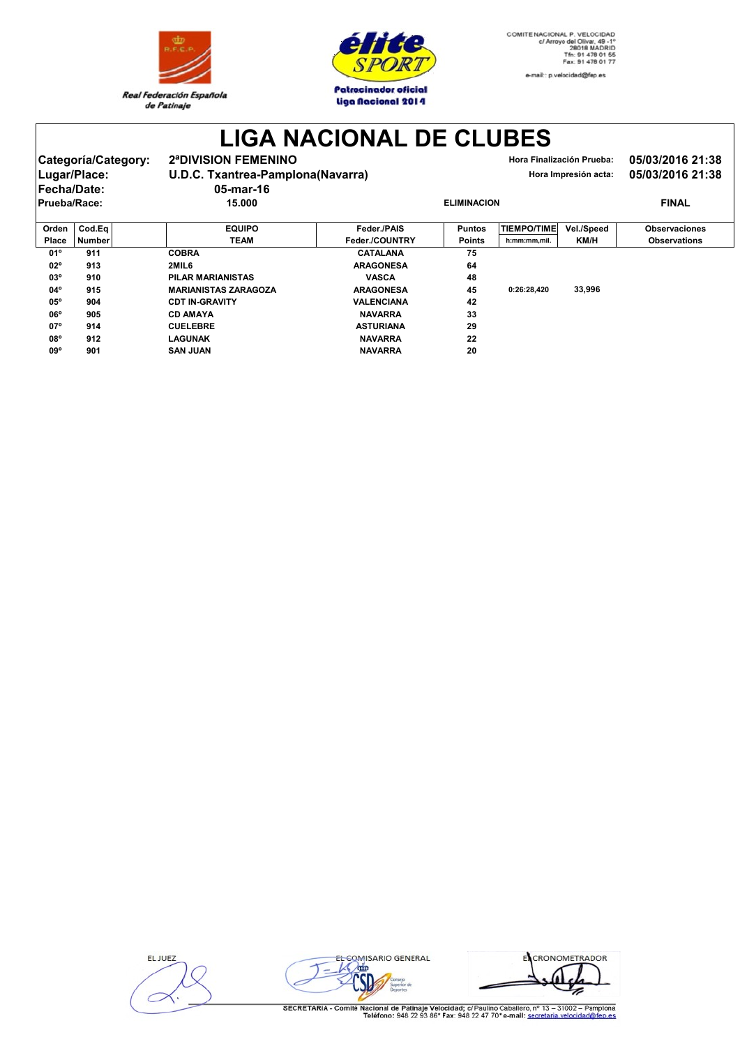



**LIGA NACIONAL DE CLUBES**

| 2ª DIVISION FEMENINO<br>Categoría/Category:<br>U.D.C. Txantrea-Pamplona(Navarra)<br>Lugar/Place:<br><b>Fecha/Date:</b><br>05-mar-16<br>15.000<br>Prueba/Race:<br>Orden<br>Cod.Eq<br><b>EQUIPO</b> |  | Hora Finalización Prueba:<br>Hora Impresión acta: | 05/03/2016 21:38<br>05/03/2016 21:38 |            |                      |  |
|---------------------------------------------------------------------------------------------------------------------------------------------------------------------------------------------------|--|---------------------------------------------------|--------------------------------------|------------|----------------------|--|
|                                                                                                                                                                                                   |  |                                                   | <b>ELIMINACION</b>                   |            | <b>FINAL</b>         |  |
|                                                                                                                                                                                                   |  | Feder./PAIS                                       | <b>TIEMPO/TIME</b><br><b>Puntos</b>  | Vel./Speed | <b>Observaciones</b> |  |

| Place        | <b>Number</b> | <b>TEAM</b>                 | Feder./COUNTRY    | <b>Points</b> | h:mm:mm,mil. | KM/H   | <b>Observations</b> |
|--------------|---------------|-----------------------------|-------------------|---------------|--------------|--------|---------------------|
| 01°          | 911           | <b>COBRA</b>                | <b>CATALANA</b>   | 75            |              |        |                     |
| $02^{\circ}$ | 913           | 2MIL6                       | <b>ARAGONESA</b>  | 64            |              |        |                     |
| 03°          | 910           | PILAR MARIANISTAS           | <b>VASCA</b>      | 48            |              |        |                     |
| 04°          | 915           | <b>MARIANISTAS ZARAGOZA</b> | <b>ARAGONESA</b>  | 45            | 0:26:28.420  | 33,996 |                     |
| $05^{\circ}$ | 904           | <b>CDT IN-GRAVITY</b>       | <b>VALENCIANA</b> | 42            |              |        |                     |
| $06^{\circ}$ | 905           | <b>CD AMAYA</b>             | <b>NAVARRA</b>    | 33            |              |        |                     |
| $07^{\circ}$ | 914           | <b>CUELEBRE</b>             | <b>ASTURIANA</b>  | 29            |              |        |                     |
| 08°          | 912           | LAGUNAK                     | <b>NAVARRA</b>    | 22            |              |        |                     |
| 09°          | 901           | <b>SAN JUAN</b>             | <b>NAVARRA</b>    | 20            |              |        |                     |

EL JUEZ



ECRONOMETRADOR  $\frac{4\pi}{2}$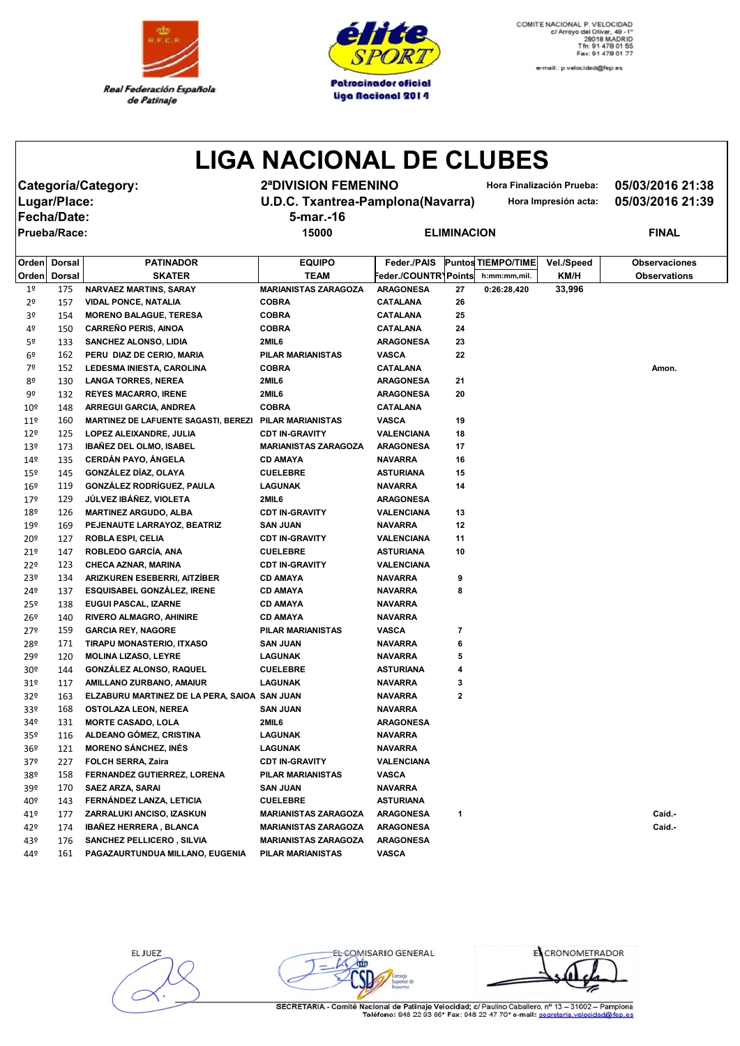



e-mail:: p.velocidad@fep.es

## **LIGA NACIONAL DE CLUBES**

**Categoría/Category: 2ªDIVISION FEMENINO Hora Finalización Prueba: 05/03/2016 21:38 Fecha/Date: 5-mar.-16**

**Lugar/Place: U.D.C. Txantrea-Pamplona(Navarra) Hora Impresión acta: 05/03/2016 21:39**

**Prueba/Race: 15000 ELIMINACION FINAL**

| Orden           | <b>Dorsal</b> | <b>PATINADOR</b>                             | <b>EQUIPO</b>               | Feder./PAIS          |              | <b>Puntos TIEMPO/TIME</b> | Vel./Speed | <b>Observaciones</b> |
|-----------------|---------------|----------------------------------------------|-----------------------------|----------------------|--------------|---------------------------|------------|----------------------|
| Orden           | Dorsal        | <b>SKATER</b>                                | <b>TEAM</b>                 | Feder./COUNTR\Points |              | h:mm:mm,mil.              | KM/H       | <b>Observations</b>  |
| 1 <sup>°</sup>  | 175           | <b>NARVAEZ MARTINS, SARAY</b>                | <b>MARIANISTAS ZARAGOZA</b> | <b>ARAGONESA</b>     | 27           | 0:26:28,420               | 33,996     |                      |
| 2º              | 157           | <b>VIDAL PONCE, NATALIA</b>                  | <b>COBRA</b>                | <b>CATALANA</b>      | 26           |                           |            |                      |
| 3º              | 154           | <b>MORENO BALAGUE, TERESA</b>                | <b>COBRA</b>                | CATALANA             | 25           |                           |            |                      |
| 4º              | 150           | <b>CARREÑO PERIS, AINOA</b>                  | <b>COBRA</b>                | CATALANA             | 24           |                           |            |                      |
| 5º              | 133           | SANCHEZ ALONSO, LIDIA                        | 2MIL6                       | <b>ARAGONESA</b>     | 23           |                           |            |                      |
| 6º              | 162           | PERU DIAZ DE CERIO, MARIA                    | <b>PILAR MARIANISTAS</b>    | VASCA                | 22           |                           |            |                      |
| 7º              | 152           | LEDESMA INIESTA, CAROLINA                    | <b>COBRA</b>                | CATALANA             |              |                           |            | Amon.                |
| 8º              | 130           | <b>LANGA TORRES, NEREA</b>                   | 2MIL6                       | <b>ARAGONESA</b>     | 21           |                           |            |                      |
| 9º              | 132           | <b>REYES MACARRO, IRENE</b>                  | 2MIL6                       | <b>ARAGONESA</b>     | 20           |                           |            |                      |
| $10^{\circ}$    | 148           | <b>ARREGUI GARCIA, ANDREA</b>                | <b>COBRA</b>                | CATALANA             |              |                           |            |                      |
| 11 <sup>°</sup> | 160           | <b>MARTINEZ DE LAFUENTE SAGASTI, BEREZI</b>  | <b>PILAR MARIANISTAS</b>    | <b>VASCA</b>         | 19           |                           |            |                      |
| 12 <sup>°</sup> | 125           | LOPEZ ALEIXANDRE, JULIA                      | <b>CDT IN-GRAVITY</b>       | VALENCIANA           | 18           |                           |            |                      |
| 139             | 173           | <b>IBAÑEZ DEL OLMO, ISABEL</b>               | <b>MARIANISTAS ZARAGOZA</b> | <b>ARAGONESA</b>     | 17           |                           |            |                      |
| 149             | 135           | <b>CERDÁN PAYO, ÁNGELA</b>                   | <b>CD AMAYA</b>             | <b>NAVARRA</b>       | 16           |                           |            |                      |
| $15^{\circ}$    | 145           | GONZÁLEZ DÍAZ, OLAYA                         | <b>CUELEBRE</b>             | <b>ASTURIANA</b>     | 15           |                           |            |                      |
| 16º             | 119           | <b>GONZÁLEZ RODRÍGUEZ, PAULA</b>             | LAGUNAK                     | <b>NAVARRA</b>       | 14           |                           |            |                      |
| 17º             | 129           | JÚLVEZ IBÁÑEZ, VIOLETA                       | 2MIL6                       | <b>ARAGONESA</b>     |              |                           |            |                      |
| 18º             | 126           | <b>MARTINEZ ARGUDO, ALBA</b>                 | <b>CDT IN-GRAVITY</b>       | <b>VALENCIANA</b>    | 13           |                           |            |                      |
| 19º             | 169           | PEJENAUTE LARRAYOZ, BEATRIZ                  | <b>SAN JUAN</b>             | <b>NAVARRA</b>       | 12           |                           |            |                      |
| 20º             | 127           | <b>ROBLA ESPI, CELIA</b>                     | <b>CDT IN-GRAVITY</b>       | <b>VALENCIANA</b>    | 11           |                           |            |                      |
| 21º             | 147           | ROBLEDO GARCÍA, ANA                          | <b>CUELEBRE</b>             | <b>ASTURIANA</b>     | 10           |                           |            |                      |
| 22º             | 123           | <b>CHECA AZNAR, MARINA</b>                   | <b>CDT IN-GRAVITY</b>       | VALENCIANA           |              |                           |            |                      |
| 23º             | 134           | ARIZKUREN ESEBERRI, AITZİBER                 | <b>CD AMAYA</b>             | <b>NAVARRA</b>       | 9            |                           |            |                      |
| 24º             | 137           | <b>ESQUISABEL GONZALEZ, IRENE</b>            | <b>CD AMAYA</b>             | <b>NAVARRA</b>       | 8            |                           |            |                      |
| 25º             | 138           | <b>EUGUI PASCAL, IZARNE</b>                  | <b>CD AMAYA</b>             | <b>NAVARRA</b>       |              |                           |            |                      |
| 26º             | 140           | <b>RIVERO ALMAGRO, AHINIRE</b>               | <b>CD AMAYA</b>             | <b>NAVARRA</b>       |              |                           |            |                      |
| 27º             | 159           | <b>GARCIA REY, NAGORE</b>                    | <b>PILAR MARIANISTAS</b>    | <b>VASCA</b>         | 7            |                           |            |                      |
| 28º             | 171           | TIRAPU MONASTERIO, ITXASO                    | <b>SAN JUAN</b>             | <b>NAVARRA</b>       | 6            |                           |            |                      |
| 29º             | 120           | <b>MOLINA LIZASO, LEYRE</b>                  | <b>LAGUNAK</b>              | <b>NAVARRA</b>       | 5            |                           |            |                      |
| 30º             | 144           | <b>GONZÁLEZ ALONSO, RAQUEL</b>               | <b>CUELEBRE</b>             | <b>ASTURIANA</b>     | 4            |                           |            |                      |
| 31 <sup>o</sup> | 117           | AMILLANO ZURBANO, AMAIUR                     | <b>LAGUNAK</b>              | <b>NAVARRA</b>       | 3            |                           |            |                      |
| 32º             | 163           | ELZABURU MARTINEZ DE LA PERA, SAIOA SAN JUAN |                             | <b>NAVARRA</b>       | $\mathbf{2}$ |                           |            |                      |
| 33º             | 168           | <b>OSTOLAZA LEON, NEREA</b>                  | <b>SAN JUAN</b>             | <b>NAVARRA</b>       |              |                           |            |                      |
| 34º             | 131           | <b>MORTE CASADO, LOLA</b>                    | 2MIL6                       | <b>ARAGONESA</b>     |              |                           |            |                      |
| 35 <sup>o</sup> | 116           | ALDEANO GÓMEZ, CRISTINA                      | <b>LAGUNAK</b>              | <b>NAVARRA</b>       |              |                           |            |                      |
| 36 <sup>°</sup> | 121           | <b>MORENO SÁNCHEZ, INÉS</b>                  | <b>LAGUNAK</b>              | <b>NAVARRA</b>       |              |                           |            |                      |
| 37º             | 227           | <b>FOLCH SERRA, Zaira</b>                    | <b>CDT IN-GRAVITY</b>       | VALENCIANA           |              |                           |            |                      |
| 38º             | 158           | FERNANDEZ GUTIERREZ, LORENA                  | <b>PILAR MARIANISTAS</b>    | VASCA                |              |                           |            |                      |
| 39º             | 170           | <b>SAEZ ARZA, SARAI</b>                      | <b>SAN JUAN</b>             | <b>NAVARRA</b>       |              |                           |            |                      |
| 40º             | 143           | FERNÁNDEZ LANZA, LETICIA                     | <b>CUELEBRE</b>             | <b>ASTURIANA</b>     |              |                           |            |                      |
| 41º             | 177           | ZARRALUKI ANCISO, IZASKUN                    | <b>MARIANISTAS ZARAGOZA</b> | <b>ARAGONESA</b>     | 1            |                           |            | Caíd.-               |
| 42º             | 174           | <b>IBANEZ HERRERA, BLANCA</b>                | <b>MARIANISTAS ZARAGOZA</b> | <b>ARAGONESA</b>     |              |                           |            | Caíd.-               |
| 43º             | 176           | <b>SANCHEZ PELLICERO, SILVIA</b>             | <b>MARIANISTAS ZARAGOZA</b> | <b>ARAGONESA</b>     |              |                           |            |                      |
| 44º             | 161           | PAGAZAURTUNDUA MILLANO, EUGENIA              | <b>PILAR MARIANISTAS</b>    | <b>VASCA</b>         |              |                           |            |                      |

EL JUEZ

EL COMISARIO GENERAL

EL CRONOMETRADOR

SECRETARIA - Comité Nacional de Patinaje Velocidad; c/ Paulino Caballero, nº 13 - 31002 - Pampiona<br>Teléfono: 948 22 93 86\* Fax: 948 22 47 70\* e-mail: secretaria.velocidad@fen.es